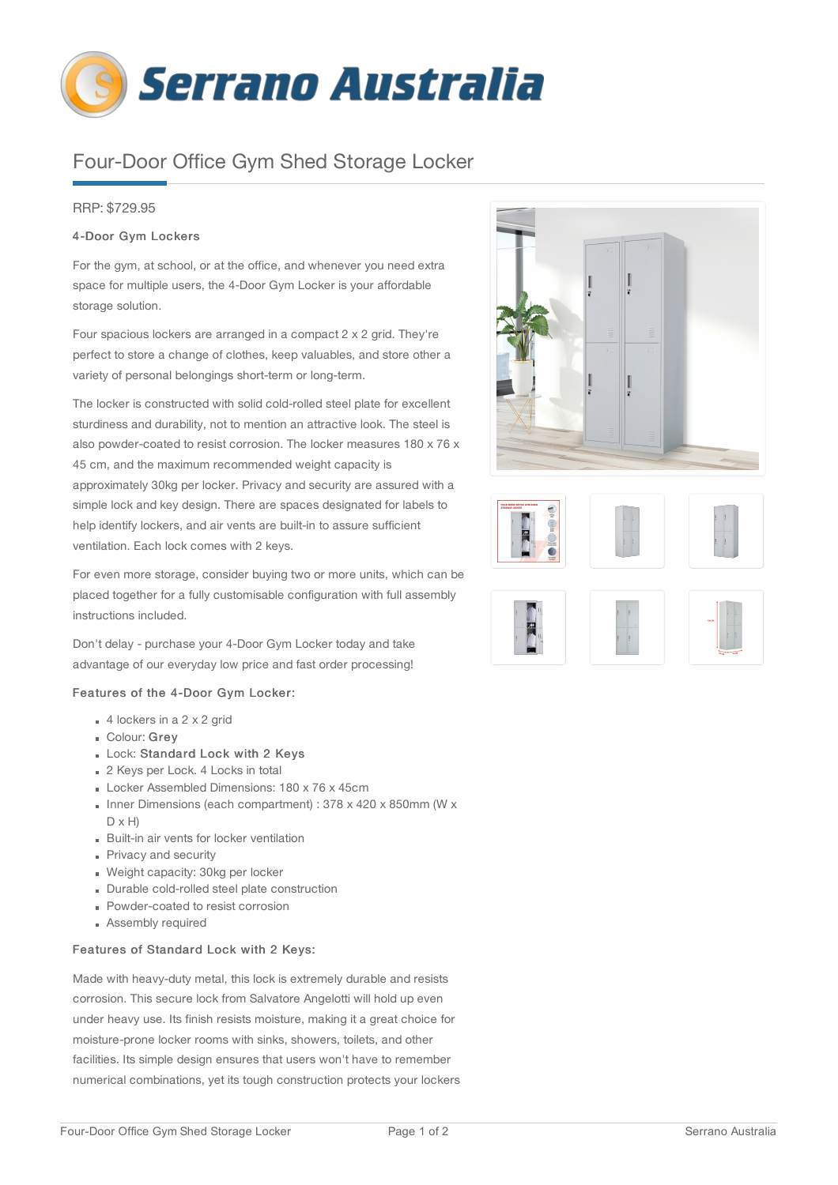

# Four-Door Office Gym Shed Storage Locker

## RRP: \$729.95

## 4-Door Gym Lockers

For the gym, at school, or at the office, and whenever you need extra space for multiple users, the 4-Door Gym Locker is your affordable storage solution.

Four spacious lockers are arranged in a compact 2 x 2 grid. They're perfect to store a change of clothes, keep valuables, and store other a variety of personal belongings short-term or long-term.

The locker is constructed with solid cold-rolled steel plate for excellent sturdiness and durability, not to mention an attractive look. The steel is also powder-coated to resist corrosion. The locker measures 180 x 76 x 45 cm, and the maximum recommended weight capacity is approximately 30kg per locker. Privacy and security are assured with a simple lock and key design. There are spaces designated for labels to help identify lockers, and air vents are built-in to assure sufficient ventilation. Each lock comes with 2 keys.

For even more storage, consider buying two or more units, which can be placed together for a fully customisable configuration with full assembly instructions included.

Don't delay - purchase your 4-Door Gym Locker today and take advantage of our everyday low price and fast order processing!

#### Features of the 4-Door Gym Locker:

- $4$  lockers in a 2 x 2 grid
- Colour: Grey
- Lock: Standard Lock with 2 Keys
- 2 Keys per Lock. 4 Locks in total
- Locker Assembled Dimensions: 180 x 76 x 45cm
- Inner Dimensions (each compartment) : 378 x 420 x 850mm (W x  $D \times H$
- Built-in air vents for locker ventilation
- Privacy and security
- Weight capacity: 30kg per locker
- Durable cold-rolled steel plate construction
- **Powder-coated to resist corrosion**
- Assembly required

## Features of Standard Lock with 2 Keys:

Made with heavy-duty metal, this lock is extremely durable and resists corrosion. This secure lock from Salvatore Angelotti will hold up even under heavy use. Its finish resists moisture, making it a great choice for moisture-prone locker rooms with sinks, showers, toilets, and other facilities. Its simple design ensures that users won't have to remember numerical combinations, yet its tough construction protects your lockers